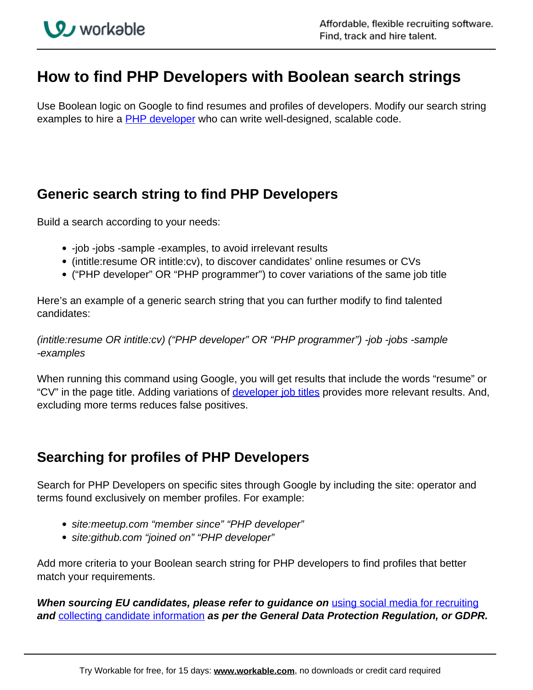# **How to find PHP Developers with Boolean search strings**

Use Boolean logic on Google to find resumes and profiles of developers. Modify our search string examples to hire a **PHP developer** who can write well-designed, scalable code.

## **Generic search string to find PHP Developers**

Build a search according to your needs:

- -job -jobs -sample -examples, to avoid irrelevant results
- (intitle:resume OR intitle:cv), to discover candidates' online resumes or CVs
- ("PHP developer" OR "PHP programmer") to cover variations of the same job title

Here's an example of a generic search string that you can further modify to find talented candidates:

(intitle:resume OR intitle:cv) ("PHP developer" OR "PHP programmer") -job -jobs -sample -examples

When running this command using Google, you will get results that include the words "resume" or "CV" in the page title. Adding variations of *developer job titles* provides more relevant results. And, excluding more terms reduces false positives.

## **Searching for profiles of PHP Developers**

Search for PHP Developers on specific sites through Google by including the site: operator and terms found exclusively on member profiles. For example:

- site: meetup.com "member since" "PHP developer"
- site:github.com "joined on" "PHP developer"

Add more criteria to your Boolean search string for PHP developers to find profiles that better match your requirements.

**When sourcing EU candidates, please refer to guidance on** using social media for recruiting **and** collecting candidate information **as per the General Data Protection Regulation, or GDPR.**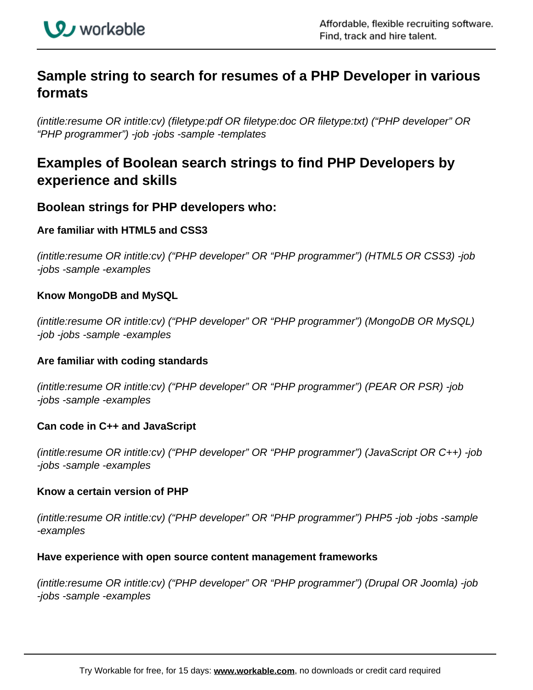

# **Sample string to search for resumes of a PHP Developer in various formats**

(intitle:resume OR intitle:cv) (filetype:pdf OR filetype:doc OR filetype:txt) ("PHP developer" OR "PHP programmer") -job -jobs -sample -templates

## **Examples of Boolean search strings to find PHP Developers by experience and skills**

### **Boolean strings for PHP developers who:**

#### **Are familiar with HTML5 and CSS3**

(intitle:resume OR intitle:cv) ("PHP developer" OR "PHP programmer") (HTML5 OR CSS3) -job -jobs -sample -examples

#### **Know MongoDB and MySQL**

(intitle:resume OR intitle:cv) ("PHP developer" OR "PHP programmer") (MongoDB OR MySQL) -job -jobs -sample -examples

#### **Are familiar with coding standards**

(intitle:resume OR intitle:cv) ("PHP developer" OR "PHP programmer") (PEAR OR PSR) -job -jobs -sample -examples

#### **Can code in C++ and JavaScript**

(intitle:resume OR intitle:cv) ("PHP developer" OR "PHP programmer") (JavaScript OR C++) -job -jobs -sample -examples

#### **Know a certain version of PHP**

(intitle:resume OR intitle:cv) ("PHP developer" OR "PHP programmer") PHP5 -job -jobs -sample -examples

#### **Have experience with open source content management frameworks**

(intitle:resume OR intitle:cv) ("PHP developer" OR "PHP programmer") (Drupal OR Joomla) -job -jobs -sample -examples